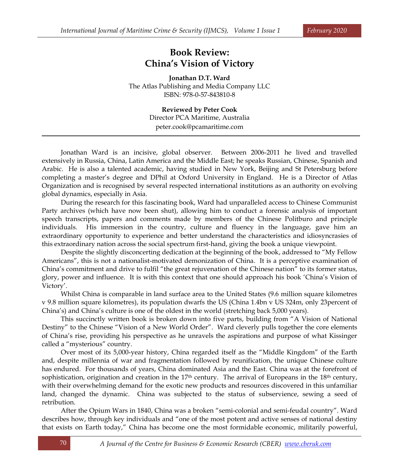## **Book Review: China's Vision of Victory**

**Jonathan D.T. Ward** The Atlas Publishing and Media Company LLC ISBN: 978-0-57-843810-8

> **Reviewed by Peter Cook** Director PCA Maritime, Australia [peter.cook@pcamaritime.com](mailto:peter.cook@pcamaritime.com)

Jonathan Ward is an incisive, global observer. Between 2006-2011 he lived and travelled extensively in Russia, China, Latin America and the Middle East; he speaks Russian, Chinese, Spanish and Arabic. He is also a talented academic, having studied in New York, Beijing and St Petersburg before completing a master's degree and DPhil at Oxford University in England. He is a Director of Atlas Organization and is recognised by several respected international institutions as an authority on evolving global dynamics, especially in Asia.

During the research for this fascinating book, Ward had unparalleled access to Chinese Communist Party archives (which have now been shut), allowing him to conduct a forensic analysis of important speech transcripts, papers and comments made by members of the Chinese Politburo and principle individuals. His immersion in the country, culture and fluency in the language, gave him an extraordinary opportunity to experience and better understand the characteristics and idiosyncrasies of this extraordinary nation across the social spectrum first-hand, giving the book a unique viewpoint.

Despite the slightly disconcerting dedication at the beginning of the book, addressed to "My Fellow Americans", this is not a nationalist-motivated demonization of China. It is a perceptive examination of China's commitment and drive to fulfil "the great rejuvenation of the Chinese nation" to its former status, glory, power and influence. It is with this context that one should approach his book 'China's Vision of Victory'.

Whilst China is comparable in land surface area to the United States (9.6 million square kilometres v 9.8 million square kilometres), its population dwarfs the US (China 1.4bn v US 324m, only 23percent of China's) and China's culture is one of the oldest in the world (stretching back 5,000 years).

This succinctly written book is broken down into five parts, building from "A Vision of National Destiny" to the Chinese "Vision of a New World Order". Ward cleverly pulls together the core elements of China's rise, providing his perspective as he unravels the aspirations and purpose of what Kissinger called a "mysterious" country.

Over most of its 5,000-year history, China regarded itself as the "Middle Kingdom" of the Earth and, despite millennia of war and fragmentation followed by reunification, the unique Chinese culture has endured. For thousands of years, China dominated Asia and the East. China was at the forefront of sophistication, origination and creation in the  $17<sup>th</sup>$  century. The arrival of Europeans in the  $18<sup>th</sup>$  century, with their overwhelming demand for the exotic new products and resources discovered in this unfamiliar land, changed the dynamic. China was subjected to the status of subservience, sewing a seed of retribution.

After the Opium Wars in 1840, China was a broken "semi-colonial and semi-feudal country". Ward describes how, through key individuals and "one of the most potent and active senses of national destiny that exists on Earth today," China has become one the most formidable economic, militarily powerful,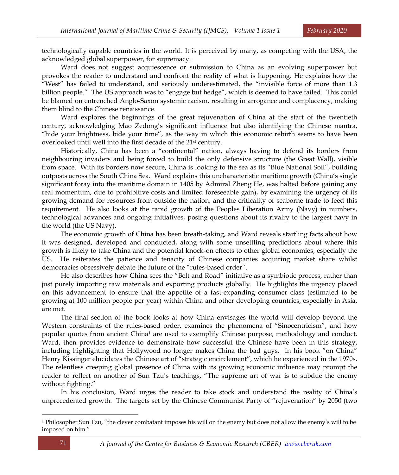technologically capable countries in the world. It is perceived by many, as competing with the USA, the acknowledged global superpower, for supremacy.

Ward does not suggest acquiescence or submission to China as an evolving superpower but provokes the reader to understand and confront the reality of what is happening. He explains how the "West" has failed to understand, and seriously underestimated, the "invisible force of more than 1.3 billion people." The US approach was to "engage but hedge", which is deemed to have failed. This could be blamed on entrenched Anglo-Saxon systemic racism, resulting in arrogance and complacency, making them blind to the Chinese renaissance.

Ward explores the beginnings of the great rejuvenation of China at the start of the twentieth century, acknowledging Mao Zedong's significant influence but also identifying the Chinese mantra, "hide your brightness, bide your time", as the way in which this economic rebirth seems to have been overlooked until well into the first decade of the 21st century.

Historically, China has been a "continental" nation, always having to defend its borders from neighbouring invaders and being forced to build the only defensive structure (the Great Wall), visible from space. With its borders now secure, China is looking to the sea as its "Blue National Soil", building outposts across the South China Sea. Ward explains this uncharacteristic maritime growth (China's single significant foray into the maritime domain in 1405 by Admiral Zheng He, was halted before gaining any real momentum, due to prohibitive costs and limited foreseeable gain), by examining the urgency of its growing demand for resources from outside the nation, and the criticality of seaborne trade to feed this requirement. He also looks at the rapid growth of the Peoples Liberation Army (Navy) in numbers, technological advances and ongoing initiatives, posing questions about its rivalry to the largest navy in the world (the US Navy).

The economic growth of China has been breath-taking, and Ward reveals startling facts about how it was designed, developed and conducted, along with some unsettling predictions about where this growth is likely to take China and the potential knock-on effects to other global economies, especially the US. He reiterates the patience and tenacity of Chinese companies acquiring market share whilst democracies obsessively debate the future of the "rules-based order".

He also describes how China sees the "Belt and Road" initiative as a symbiotic process, rather than just purely importing raw materials and exporting products globally. He highlights the urgency placed on this advancement to ensure that the appetite of a fast-expanding consumer class (estimated to be growing at 100 million people per year) within China and other developing countries, especially in Asia, are met.

The final section of the book looks at how China envisages the world will develop beyond the Western constraints of the rules-based order, examines the phenomena of "Sinocentricism", and how popular quotes from ancient China<sup>1</sup> are used to exemplify Chinese purpose, methodology and conduct. Ward, then provides evidence to demonstrate how successful the Chinese have been in this strategy, including highlighting that Hollywood no longer makes China the bad guys. In his book "on China" Henry Kissinger elucidates the Chinese art of "strategic encirclement", which he experienced in the 1970s. The relentless creeping global presence of China with its growing economic influence may prompt the reader to reflect on another of Sun Tzu's teachings, "The supreme art of war is to subdue the enemy without fighting."

In his conclusion, Ward urges the reader to take stock and understand the reality of China's unprecedented growth. The targets set by the Chinese Communist Party of "rejuvenation" by 2050 (two

<sup>1</sup> Philosopher Sun Tzu, "the clever combatant imposes his will on the enemy but does not allow the enemy's will to be imposed on him."